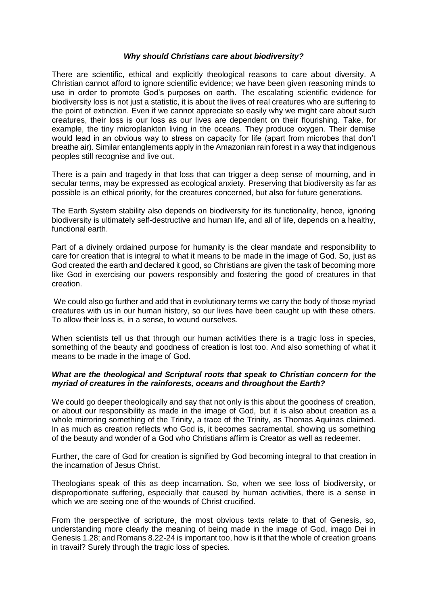## *Why should Christians care about biodiversity?*

There are scientific, ethical and explicitly theological reasons to care about diversity. A Christian cannot afford to ignore scientific evidence; we have been given reasoning minds to use in order to promote God's purposes on earth. The escalating scientific evidence for biodiversity loss is not just a statistic, it is about the lives of real creatures who are suffering to the point of extinction. Even if we cannot appreciate so easily why we might care about such creatures, their loss is our loss as our lives are dependent on their flourishing. Take, for example, the tiny microplankton living in the oceans. They produce oxygen. Their demise would lead in an obvious way to stress on capacity for life (apart from microbes that don't breathe air). Similar entanglements apply in the Amazonian rain forest in a way that indigenous peoples still recognise and live out.

There is a pain and tragedy in that loss that can trigger a deep sense of mourning, and in secular terms, may be expressed as ecological anxiety. Preserving that biodiversity as far as possible is an ethical priority, for the creatures concerned, but also for future generations.

The Earth System stability also depends on biodiversity for its functionality, hence, ignoring biodiversity is ultimately self-destructive and human life, and all of life, depends on a healthy, functional earth.

Part of a divinely ordained purpose for humanity is the clear mandate and responsibility to care for creation that is integral to what it means to be made in the image of God. So, just as God created the earth and declared it good, so Christians are given the task of becoming more like God in exercising our powers responsibly and fostering the good of creatures in that creation.

We could also go further and add that in evolutionary terms we carry the body of those myriad creatures with us in our human history, so our lives have been caught up with these others. To allow their loss is, in a sense, to wound ourselves.

When scientists tell us that through our human activities there is a tragic loss in species, something of the beauty and goodness of creation is lost too. And also something of what it means to be made in the image of God.

## *What are the theological and Scriptural roots that speak to Christian concern for the myriad of creatures in the rainforests, oceans and throughout the Earth?*

We could go deeper theologically and say that not only is this about the goodness of creation, or about our responsibility as made in the image of God, but it is also about creation as a whole mirroring something of the Trinity, a trace of the Trinity, as Thomas Aquinas claimed. In as much as creation reflects who God is, it becomes sacramental, showing us something of the beauty and wonder of a God who Christians affirm is Creator as well as redeemer.

Further, the care of God for creation is signified by God becoming integral to that creation in the incarnation of Jesus Christ.

Theologians speak of this as deep incarnation. So, when we see loss of biodiversity, or disproportionate suffering, especially that caused by human activities, there is a sense in which we are seeing one of the wounds of Christ crucified.

From the perspective of scripture, the most obvious texts relate to that of Genesis, so, understanding more clearly the meaning of being made in the image of God, imago Dei in Genesis 1.28; and Romans 8.22-24 is important too, how is it that the whole of creation groans in travail? Surely through the tragic loss of species.